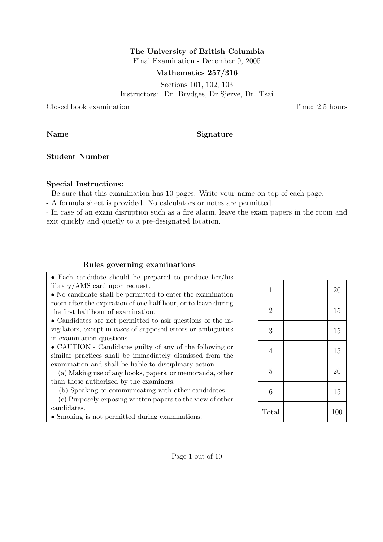## The University of British Columbia

Final Examination - December 9, 2005

## Mathematics 257/316

Sections 101, 102, 103 Instructors: Dr. Brydges, Dr Sjerve, Dr. Tsai

Closed book examination **Time:** 2.5 hours

Name Signature

Student Number

## Special Instructions:

- Be sure that this examination has 10 pages. Write your name on top of each page.

- A formula sheet is provided. No calculators or notes are permitted.

- In case of an exam disruption such as a fire alarm, leave the exam papers in the room and exit quickly and quietly to a pre-designated location.

## Rules governing examinations

• Each candidate should be prepared to produce her/his library/AMS card upon request.

• No candidate shall be permitted to enter the examination room after the expiration of one half hour, or to leave during the first half hour of examination.

• Candidates are not permitted to ask questions of the invigilators, except in cases of supposed errors or ambiguities in examination questions.

• CAUTION - Candidates guilty of any of the following or similar practices shall be immediately dismissed from the examination and shall be liable to disciplinary action.

(a) Making use of any books, papers, or memoranda, other than those authorized by the examiners.

(b) Speaking or communicating with other candidates.

(c) Purposely exposing written papers to the view of other candidates.

• Smoking is not permitted during examinations.

| $\mathbf{1}$   | 20  |
|----------------|-----|
| $\overline{2}$ | 15  |
| 3              | 15  |
| $\overline{4}$ | 15  |
| $\overline{5}$ | 20  |
| 6              | 15  |
| Total          | 100 |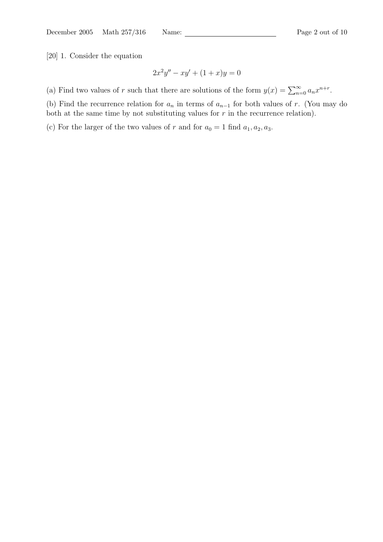[20] 1. Consider the equation

$$
2x^2y'' - xy' + (1+x)y = 0
$$

(a) Find two values of r such that there are solutions of the form  $y(x) = \sum_{n=0}^{\infty} a_n x^{n+r}$ .

(b) Find the recurrence relation for  $a_n$  in terms of  $a_{n-1}$  for both values of r. (You may do both at the same time by not substituting values for  $r$  in the recurrence relation).

(c) For the larger of the two values of r and for  $a_0 = 1$  find  $a_1, a_2, a_3$ .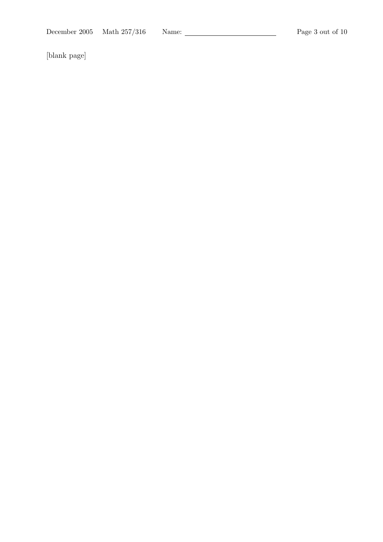[blank page]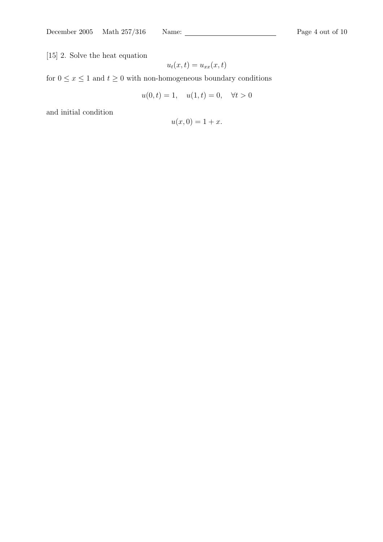$$
u_t(x,t) = u_{xx}(x,t)
$$

for  $0\leq x\leq 1$  and  $t\geq 0$  with non-homogeneous boundary conditions

$$
u(0, t) = 1, \quad u(1, t) = 0, \quad \forall t > 0
$$

and initial condition

$$
u(x,0) = 1 + x.
$$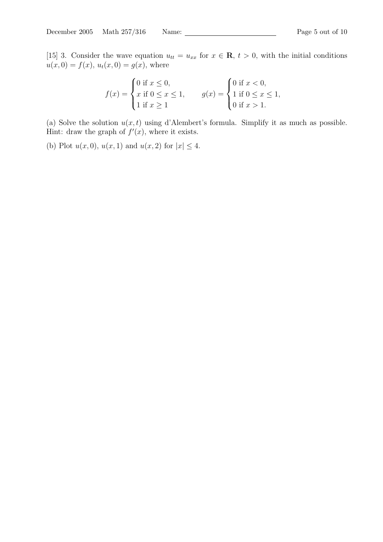[15] 3. Consider the wave equation  $u_{tt} = u_{xx}$  for  $x \in \mathbf{R}$ ,  $t > 0$ , with the initial conditions  $u(x, 0) = f(x), u_t(x, 0) = g(x),$  where

$$
f(x) = \begin{cases} 0 \text{ if } x \le 0, \\ x \text{ if } 0 \le x \le 1, \\ 1 \text{ if } x \ge 1 \end{cases} \qquad g(x) = \begin{cases} 0 \text{ if } x < 0, \\ 1 \text{ if } 0 \le x \le 1, \\ 0 \text{ if } x > 1. \end{cases}
$$

(a) Solve the solution  $u(x, t)$  using d'Alembert's formula. Simplify it as much as possible. Hint: draw the graph of  $f'(x)$ , where it exists.

(b) Plot  $u(x, 0), u(x, 1)$  and  $u(x, 2)$  for  $|x| \leq 4$ .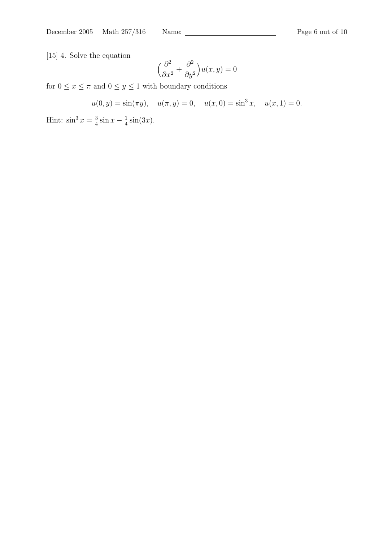[15] 4. Solve the equation

$$
\left(\frac{\partial^2}{\partial x^2} + \frac{\partial^2}{\partial y^2}\right)u(x, y) = 0
$$

for  $0 \leq x \leq \pi$  and  $0 \leq y \leq 1$  with boundary conditions

$$
u(0, y) = \sin(\pi y), \quad u(\pi, y) = 0, \quad u(x, 0) = \sin^3 x, \quad u(x, 1) = 0.
$$

Hint:  $\sin^3 x = \frac{3}{4}$  $\frac{3}{4} \sin x - \frac{1}{4}$  $rac{1}{4}\sin(3x)$ .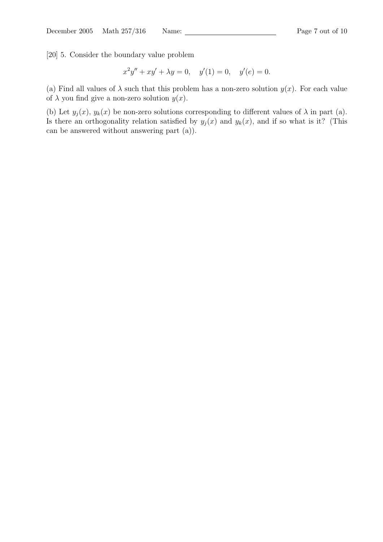$$
x^{2}y'' + xy' + \lambda y = 0, \quad y'(1) = 0, \quad y'(e) = 0.
$$

(a) Find all values of  $\lambda$  such that this problem has a non-zero solution  $y(x)$ . For each value of  $\lambda$  you find give a non-zero solution  $y(x)$ .

(b) Let  $y_j(x)$ ,  $y_k(x)$  be non-zero solutions corresponding to different values of  $\lambda$  in part (a). Is there an orthogonality relation satisfied by  $y_j(x)$  and  $y_k(x)$ , and if so what is it? (This can be answered without answering part (a)).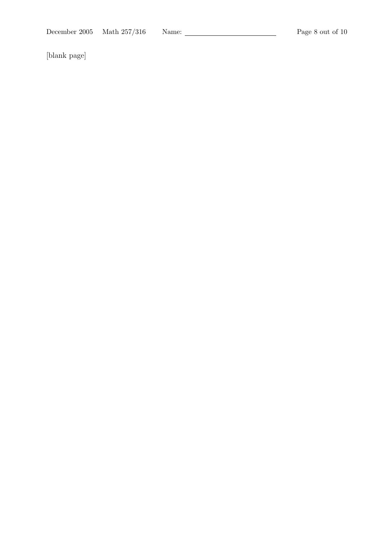[blank page]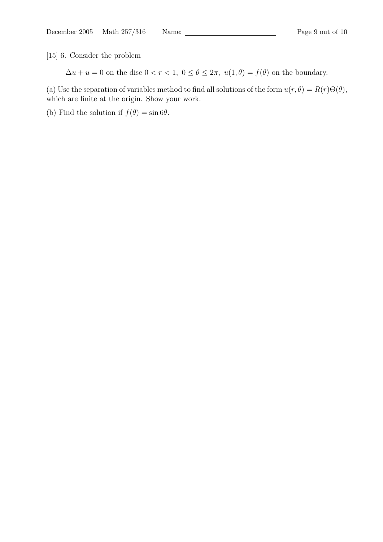[15] 6. Consider the problem

 $\Delta u + u = 0$  on the disc  $0 < r < 1$ ,  $0 \le \theta \le 2\pi$ ,  $u(1, \theta) = f(\theta)$  on the boundary.

(a) Use the separation of variables method to find <u>all</u> solutions of the form  $u(r, \theta) = R(r)\Theta(\theta)$ , which are finite at the origin. Show your work.

(b) Find the solution if  $f(\theta) = \sin 6\theta$ .